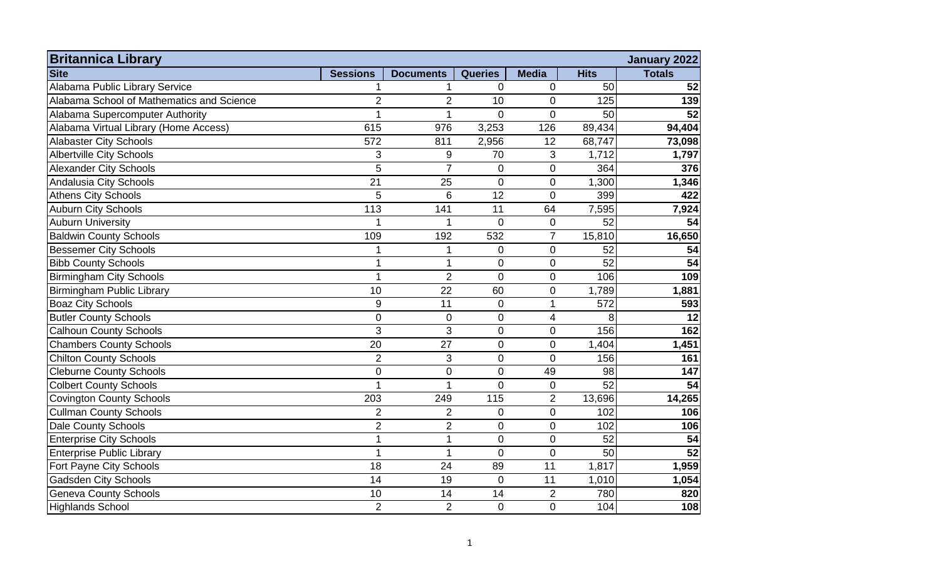| <b>Britannica Library</b>                 |                 |                  |                |                |             | <b>January 2022</b> |
|-------------------------------------------|-----------------|------------------|----------------|----------------|-------------|---------------------|
| <b>Site</b>                               | <b>Sessions</b> | <b>Documents</b> | <b>Queries</b> | <b>Media</b>   | <b>Hits</b> | <b>Totals</b>       |
| Alabama Public Library Service            |                 |                  | $\mathbf 0$    | 0              | 50          | 52                  |
| Alabama School of Mathematics and Science | $\overline{2}$  | $\overline{2}$   | 10             | $\mathbf 0$    | 125         | 139                 |
| Alabama Supercomputer Authority           | 1               | 1                | $\overline{0}$ | $\mathbf 0$    | 50          | 52                  |
| Alabama Virtual Library (Home Access)     | 615             | 976              | 3,253          | 126            | 89,434      | 94,404              |
| <b>Alabaster City Schools</b>             | 572             | 811              | 2,956          | 12             | 68,747      | 73,098              |
| <b>Albertville City Schools</b>           | 3               | $\boldsymbol{9}$ | 70             | 3              | 1,712       | 1,797               |
| <b>Alexander City Schools</b>             | 5               | $\overline{7}$   | $\mathbf 0$    | $\mathbf 0$    | 364         | 376                 |
| Andalusia City Schools                    | 21              | 25               | $\mathbf 0$    | $\mathbf 0$    | 1,300       | 1,346               |
| <b>Athens City Schools</b>                | 5               | 6                | 12             | $\overline{0}$ | 399         | 422                 |
| <b>Auburn City Schools</b>                | 113             | 141              | 11             | 64             | 7,595       | 7,924               |
| <b>Auburn University</b>                  |                 | 1                | $\overline{0}$ | $\overline{0}$ | 52          | 54                  |
| <b>Baldwin County Schools</b>             | 109             | 192              | 532            | $\overline{7}$ | 15,810      | 16,650              |
| <b>Bessemer City Schools</b>              | 1               | 1                | 0              | $\mathbf 0$    | 52          | 54                  |
| <b>Bibb County Schools</b>                | 1               | 1                | $\overline{0}$ | $\mathbf 0$    | 52          | 54                  |
| <b>Birmingham City Schools</b>            | 1               | $\overline{2}$   | $\overline{0}$ | 0              | 106         | 109                 |
| <b>Birmingham Public Library</b>          | 10              | 22               | 60             | 0              | 1,789       | 1,881               |
| <b>Boaz City Schools</b>                  | 9               | 11               | $\mathbf 0$    | $\mathbf{1}$   | 572         | 593                 |
| <b>Butler County Schools</b>              | $\overline{0}$  | 0                | $\pmb{0}$      | 4              | 8           | 12                  |
| <b>Calhoun County Schools</b>             | 3               | 3                | $\mathbf 0$    | $\mathbf 0$    | 156         | 162                 |
| <b>Chambers County Schools</b>            | 20              | 27               | 0              | $\mathbf 0$    | 1,404       | 1,451               |
| <b>Chilton County Schools</b>             | $\overline{2}$  | 3                | 0              | $\mathbf 0$    | 156         | 161                 |
| <b>Cleburne County Schools</b>            | $\overline{0}$  | $\mathbf 0$      | 0              | 49             | 98          | 147                 |
| <b>Colbert County Schools</b>             | 1               | 1                | $\mathbf 0$    | $\mathbf 0$    | 52          | 54                  |
| <b>Covington County Schools</b>           | 203             | 249              | 115            | $\overline{2}$ | 13,696      | 14,265              |
| <b>Cullman County Schools</b>             | $\overline{2}$  | $\overline{2}$   | $\overline{0}$ | $\mathbf 0$    | 102         | 106                 |
| <b>Dale County Schools</b>                | $\overline{2}$  | $\overline{2}$   | $\overline{0}$ | $\overline{0}$ | 102         | 106                 |
| <b>Enterprise City Schools</b>            | $\overline{1}$  | 1                | $\overline{0}$ | $\overline{0}$ | 52          | 54                  |
| <b>Enterprise Public Library</b>          | 1               | $\mathbf{1}$     | $\overline{0}$ | $\overline{0}$ | 50          | 52                  |
| Fort Payne City Schools                   | 18              | 24               | 89             | 11             | 1,817       | 1,959               |
| <b>Gadsden City Schools</b>               | 14              | 19               | $\overline{0}$ | 11             | 1,010       | 1,054               |
| <b>Geneva County Schools</b>              | 10              | 14               | 14             | 2              | 780         | 820                 |
| <b>Highlands School</b>                   | $\overline{2}$  | $\overline{2}$   | $\mathbf 0$    | $\mathbf 0$    | 104         | 108                 |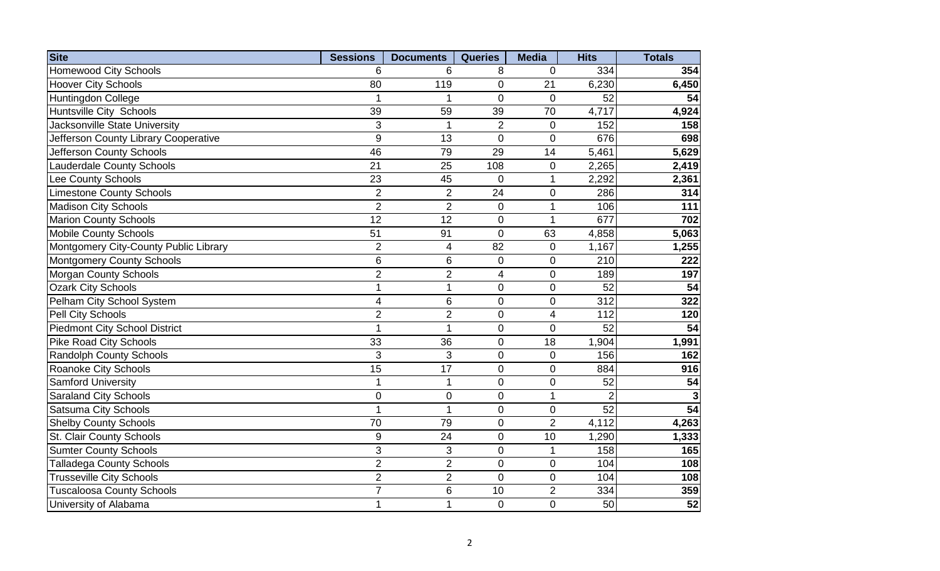| <b>Site</b>                           | <b>Sessions</b> | <b>Documents</b> | <b>Queries</b>           | <b>Media</b>    | <b>Hits</b>    | <b>Totals</b>   |
|---------------------------------------|-----------------|------------------|--------------------------|-----------------|----------------|-----------------|
| <b>Homewood City Schools</b>          | 6               | 6                | 8                        | $\Omega$        | 334            | 354             |
| <b>Hoover City Schools</b>            | 80              | 119              | $\overline{0}$           | 21              | 6,230          | 6,450           |
| Huntingdon College                    |                 | 1                | $\overline{0}$           | $\overline{0}$  | 52             | 54              |
| <b>Huntsville City Schools</b>        | 39              | 59               | 39                       | $\overline{70}$ | 4,717          | 4,924           |
| Jacksonville State University         | 3               | 1                | $\overline{2}$           | $\pmb{0}$       | 152            | 158             |
| Jefferson County Library Cooperative  | 9               | 13               | $\overline{0}$           | $\overline{0}$  | 676            | 698             |
| Jefferson County Schools              | 46              | 79               | 29                       | 14              | 5,461          | 5,629           |
| <b>Lauderdale County Schools</b>      | $\overline{21}$ | 25               | 108                      | $\mathbf 0$     | 2,265          | 2,419           |
| Lee County Schools                    | 23              | 45               | $\overline{0}$           | 1               | 2,292          | 2,361           |
| <b>Limestone County Schools</b>       | $\overline{2}$  | $\overline{2}$   | 24                       | $\mathbf 0$     | 286            | 314             |
| <b>Madison City Schools</b>           | $\overline{2}$  | $\overline{2}$   | 0                        | 1               | 106            | 111             |
| <b>Marion County Schools</b>          | 12              | 12               | $\overline{0}$           | $\mathbf{1}$    | 677            | 702             |
| <b>Mobile County Schools</b>          | 51              | 91               | $\overline{0}$           | 63              | 4,858          | 5,063           |
| Montgomery City-County Public Library | $\overline{2}$  | 4                | 82                       | 0               | 1,167          | 1,255           |
| <b>Montgomery County Schools</b>      | 6               | $\,6$            | $\boldsymbol{0}$         | $\pmb{0}$       | 210            | 222             |
| <b>Morgan County Schools</b>          | $\overline{2}$  | $\overline{2}$   | $\overline{\mathcal{A}}$ | 0               | 189            | 197             |
| <b>Ozark City Schools</b>             | $\overline{1}$  | 1                | $\mathbf 0$              | $\mathbf 0$     | 52             | 54              |
| Pelham City School System             | 4               | 6                | $\mathbf 0$              | 0               | 312            | 322             |
| Pell City Schools                     | $\overline{2}$  | $\overline{2}$   | $\overline{0}$           | $\overline{4}$  | 112            | 120             |
| <b>Piedmont City School District</b>  | 1               | $\mathbf{1}$     | $\mathbf 0$              | $\mathbf 0$     | 52             | 54              |
| <b>Pike Road City Schools</b>         | 33              | 36               | $\mathbf 0$              | 18              | 1,904          | 1,991           |
| <b>Randolph County Schools</b>        | 3               | 3                | $\Omega$                 | $\mathbf 0$     | 156            | 162             |
| <b>Roanoke City Schools</b>           | 15              | 17               | $\overline{0}$           | $\overline{0}$  | 884            | 916             |
| <b>Samford University</b>             |                 | 1                | $\mathbf 0$              | $\mathbf 0$     | 52             | 54              |
| <b>Saraland City Schools</b>          | $\overline{0}$  | $\pmb{0}$        | $\mathbf 0$              | $\mathbf{1}$    | $\overline{2}$ |                 |
| Satsuma City Schools                  | 1               | 1                | $\mathbf 0$              | 0               | 52             | 54              |
| <b>Shelby County Schools</b>          | 70              | 79               | $\mathbf 0$              | $\overline{2}$  | 4,112          | 4,263           |
| St. Clair County Schools              | $9\,$           | 24               | $\mathbf 0$              | 10              | 1,290          | 1,333           |
| <b>Sumter County Schools</b>          | 3               | 3                | $\overline{0}$           | 1               | 158            | 165             |
| <b>Talladega County Schools</b>       | $\overline{2}$  | $\overline{2}$   | $\mathbf 0$              | $\mathbf 0$     | 104            | 108             |
| <b>Trusseville City Schools</b>       | $\overline{2}$  | $\overline{2}$   | $\mathbf 0$              | $\mathbf 0$     | 104            | 108             |
| <b>Tuscaloosa County Schools</b>      | 7               | 6                | 10                       | $\overline{2}$  | 334            | 359             |
| University of Alabama                 | $\mathbf 1$     | $\mathbf{1}$     | $\mathbf 0$              | $\mathbf 0$     | 50             | $\overline{52}$ |